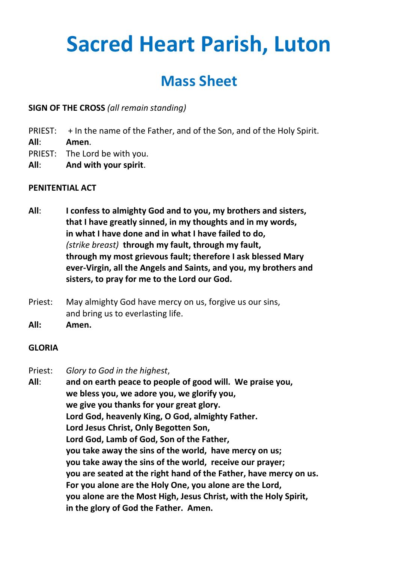# **Sacred Heart Parish, Luton**

# **Mass Sheet**

**SIGN OF THE CROSS** *(all remain standing)*

- PRIEST: + In the name of the Father, and of the Son, and of the Holy Spirit.
- **All**: **Amen**.
- PRIEST: The Lord be with you.
- **All**: **And with your spirit**.

# **PENITENTIAL ACT**

- **All**: **I confess to almighty God and to you, my brothers and sisters, that I have greatly sinned, in my thoughts and in my words, in what I have done and in what I have failed to do,** *(strike breast)* **through my fault, through my fault, through my most grievous fault; therefore I ask blessed Mary ever-Virgin, all the Angels and Saints, and you, my brothers and sisters, to pray for me to the Lord our God.**
- Priest: May almighty God have mercy on us, forgive us our sins, and bring us to everlasting life.
- **All: Amen.**

# **GLORIA**

Priest: *Glory to God in the highest*,

**All**: **and on earth peace to people of good will. We praise you, we bless you, we adore you, we glorify you, we give you thanks for your great glory. Lord God, heavenly King, O God, almighty Father. Lord Jesus Christ, Only Begotten Son, Lord God, Lamb of God, Son of the Father, you take away the sins of the world, have mercy on us; you take away the sins of the world, receive our prayer; you are seated at the right hand of the Father, have mercy on us. For you alone are the Holy One, you alone are the Lord, you alone are the Most High, Jesus Christ, with the Holy Spirit, in the glory of God the Father. Amen.**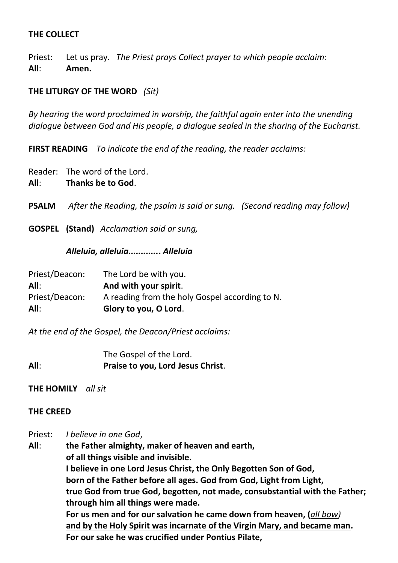#### **THE COLLECT**

Priest: Let us pray. *The Priest prays Collect prayer to which people acclaim*: **All**: **Amen.**

## **THE LITURGY OF THE WORD** *(Sit)*

*By hearing the word proclaimed in worship, the faithful again enter into the unending dialogue between God and His people, a dialogue sealed in the sharing of the Eucharist.*

**FIRST READING** *To indicate the end of the reading, the reader acclaims:*

Reader: The word of the Lord.

**All**: **Thanks be to God**.

**PSALM** *After the Reading, the psalm is said or sung. (Second reading may follow)*

**GOSPEL (Stand)** *Acclamation said or sung,* 

#### *Alleluia, alleluia............***.** *Alleluia*

| Priest/Deacon: | The Lord be with you.                          |
|----------------|------------------------------------------------|
| All:           | And with your spirit.                          |
| Priest/Deacon: | A reading from the holy Gospel according to N. |
| All:           | Glory to you, O Lord.                          |

*At the end of the Gospel, the Deacon/Priest acclaims:*

The Gospel of the Lord. **All**: **Praise to you, Lord Jesus Christ**.

**THE HOMILY** *all sit*

#### **THE CREED**

Priest: *I believe in one God*,

**All**: **the Father almighty, maker of heaven and earth, of all things visible and invisible. I believe in one Lord Jesus Christ, the Only Begotten Son of God, born of the Father before all ages. God from God, Light from Light, true God from true God, begotten, not made, consubstantial with the Father; through him all things were made. For us men and for our salvation he came down from heaven, (***all bow)* **and by the Holy Spirit was incarnate of the Virgin Mary, and became man. For our sake he was crucified under Pontius Pilate,**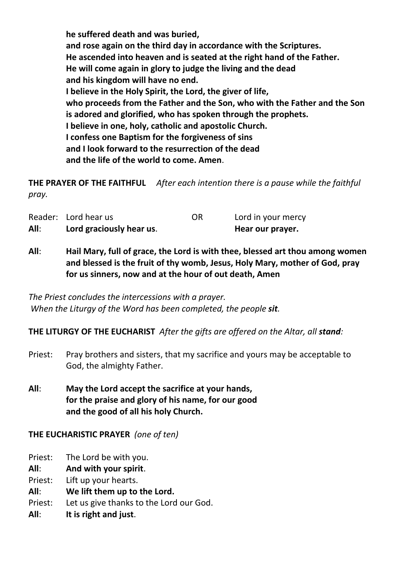**he suffered death and was buried, and rose again on the third day in accordance with the Scriptures. He ascended into heaven and is seated at the right hand of the Father. He will come again in glory to judge the living and the dead and his kingdom will have no end. I believe in the Holy Spirit, the Lord, the giver of life, who proceeds from the Father and the Son, who with the Father and the Son is adored and glorified, who has spoken through the prophets. I believe in one, holy, catholic and apostolic Church. I confess one Baptism for the forgiveness of sins and I look forward to the resurrection of the dead and the life of the world to come. Amen**.

**THE PRAYER OF THE FAITHFUL** *After each intention there is a pause while the faithful pray.*

| All: | Lord graciously hear us. |    | Hear our prayer.   |
|------|--------------------------|----|--------------------|
|      | Reader: Lord hear us     | OR | Lord in your mercy |

**All**: **Hail Mary, full of grace, the Lord is with thee, blessed art thou among women and blessed is the fruit of thy womb, Jesus, Holy Mary, mother of God, pray for us sinners, now and at the hour of out death, Amen**

*The Priest concludes the intercessions with a prayer. When the Liturgy of the Word has been completed, the people sit.*

**THE LITURGY OF THE EUCHARIST** *After the gifts are offered on the Altar, all stand:*

- Priest: Pray brothers and sisters, that my sacrifice and yours may be acceptable to God, the almighty Father.
- **All**: **May the Lord accept the sacrifice at your hands, for the praise and glory of his name, for our good and the good of all his holy Church.**

# **THE EUCHARISTIC PRAYER** *(one of ten)*

- Priest: The Lord be with you.
- **All**: **And with your spirit**.
- Priest: Lift up your hearts.
- **All**: **We lift them up to the Lord.**
- Priest: Let us give thanks to the Lord our God.
- **All**: **It is right and just**.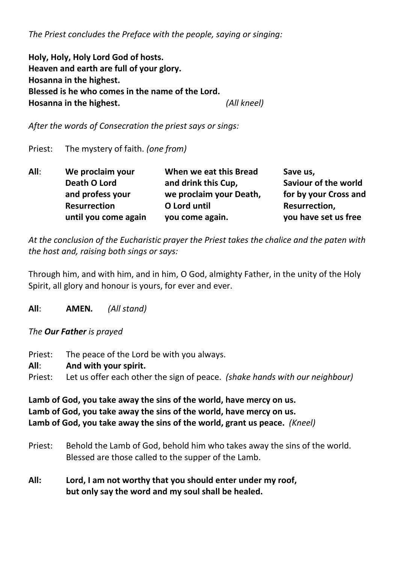*The Priest concludes the Preface with the people, saying or singing:*

**Holy, Holy, Holy Lord God of hosts. Heaven and earth are full of your glory. Hosanna in the highest. Blessed is he who comes in the name of the Lord. Hosanna in the highest.** *(All kneel)*

*After the words of Consecration the priest says or sings:*

Priest: The mystery of faith. *(one from)*

| All: | We proclaim your     | When we eat this Bread  | Save us,                    |
|------|----------------------|-------------------------|-----------------------------|
|      | Death O Lord         | and drink this Cup,     | <b>Saviour of the world</b> |
|      | and profess your     | we proclaim your Death, | for by your Cross and       |
|      | <b>Resurrection</b>  | O Lord until            | Resurrection,               |
|      | until you come again | you come again.         | you have set us free        |

*At the conclusion of the Eucharistic prayer the Priest takes the chalice and the paten with the host and, raising both sings or says:*

Through him, and with him, and in him, O God, almighty Father, in the unity of the Holy Spirit, all glory and honour is yours, for ever and ever.

**All**: **AMEN***. (All stand)*

*The Our Father is prayed*

Priest: The peace of the Lord be with you always. **All**: **And with your spirit.** Priest: Let us offer each other the sign of peace. *(shake hands with our neighbour)*

**Lamb of God, you take away the sins of the world, have mercy on us. Lamb of God, you take away the sins of the world, have mercy on us. Lamb of God, you take away the sins of the world, grant us peace.** *(Kneel)*

- Priest: Behold the Lamb of God, behold him who takes away the sins of the world. Blessed are those called to the supper of the Lamb.
- **All: Lord, I am not worthy that you should enter under my roof, but only say the word and my soul shall be healed.**